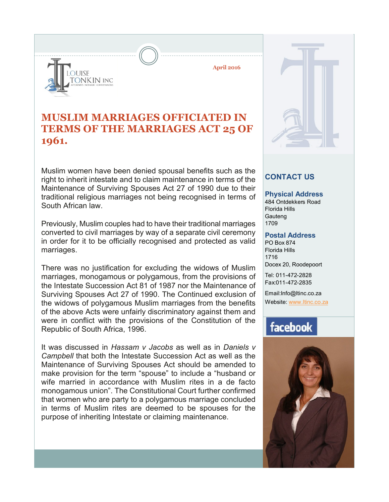

**April 2016**

### **MUSLIM MARRIAGES OFFICIATED IN TERMS OF THE MARRIAGES ACT 25 OF 1961.**

Muslim women have been denied spousal benefits such as the right to inherit intestate and to claim maintenance in terms of the Maintenance of Surviving Spouses Act 27 of 1990 due to their traditional religious marriages not being recognised in terms of South African law.

Previously, Muslim couples had to have their traditional marriages converted to civil marriages by way of a separate civil ceremony in order for it to be officially recognised and protected as valid marriages.

There was no justification for excluding the widows of Muslim marriages, monogamous or polygamous, from the provisions of the Intestate Succession Act 81 of 1987 nor the Maintenance of Surviving Spouses Act 27 of 1990. The Continued exclusion of the widows of polygamous Muslim marriages from the benefits of the above Acts were unfairly discriminatory against them and were in conflict with the provisions of the Constitution of the Republic of South Africa, 1996.

It was discussed in *Hassam v Jacobs* as well as in *Daniels v Campbell* that both the Intestate Succession Act as well as the Maintenance of Surviving Spouses Act should be amended to make provision for the term "spouse" to include a "husband or wife married in accordance with Muslim rites in a de facto monogamous union". The Constitutional Court further confirmed that women who are party to a polygamous marriage concluded in terms of Muslim rites are deemed to be spouses for the purpose of inheriting Intestate or claiming maintenance.



### **CONTACT US**

#### **Physical Address**

484 Ontdekkers Road Florida Hills **Gauteng** 1709

#### **Postal Address**

PO Box 874 Florida Hills 1716 Docex 20, Roodepoort

Tel: 011-472-2828 Fax:011-472-2835

Email:Info@ltinc.co.za Website: www.ltinc.co.za

## facebook